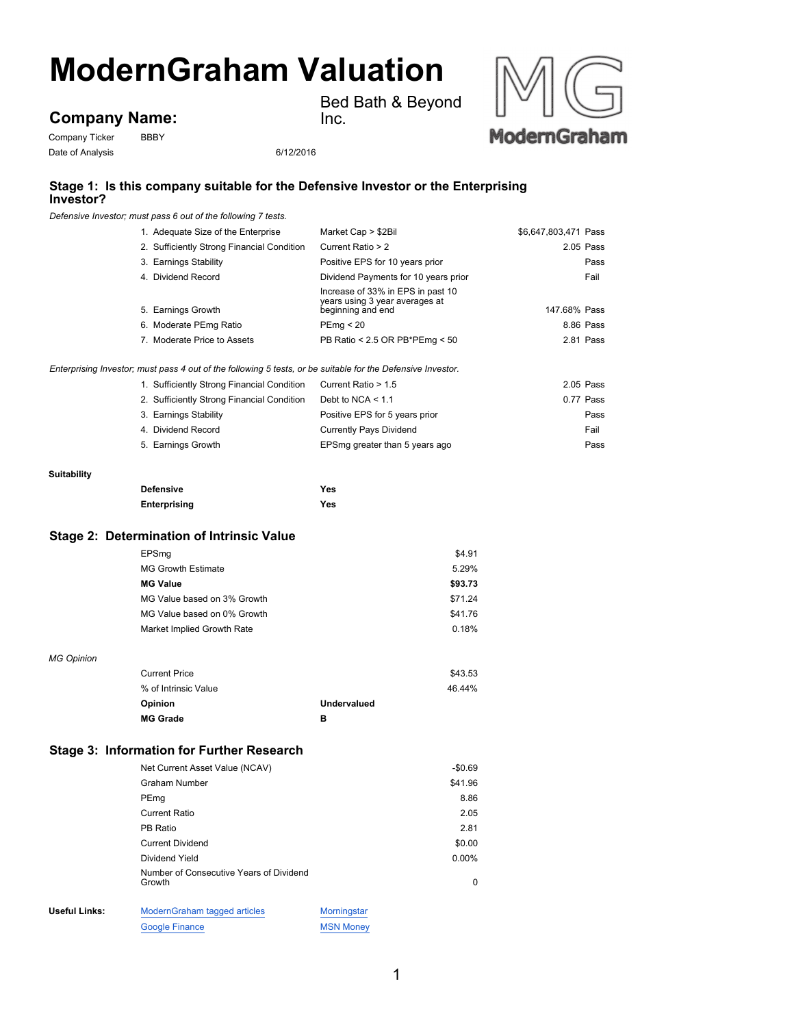# **ModernGraham Valuation**

# **Company Name:**

Company Ticker BBBY Date of Analysis 6/12/2016

Bed Bath & Beyond Inc.



## **Stage 1: Is this company suitable for the Defensive Investor or the Enterprising Investor?**

*Defensive Investor; must pass 6 out of the following 7 tests.*

| 1. Adequate Size of the Enterprise                                                                          | Market Cap > \$2Bil                                                                      | \$6,647,803,471 Pass |
|-------------------------------------------------------------------------------------------------------------|------------------------------------------------------------------------------------------|----------------------|
| 2. Sufficiently Strong Financial Condition                                                                  | Current Ratio > 2                                                                        | 2.05 Pass            |
| 3. Earnings Stability                                                                                       | Positive EPS for 10 years prior                                                          | Pass                 |
| 4. Dividend Record                                                                                          | Dividend Payments for 10 years prior                                                     | Fail                 |
| 5. Earnings Growth                                                                                          | Increase of 33% in EPS in past 10<br>years using 3 year averages at<br>beginning and end | 147.68% Pass         |
| 6. Moderate PEmg Ratio                                                                                      | PEmq < 20                                                                                | 8.86 Pass            |
| 7. Moderate Price to Assets                                                                                 | PB Ratio < 2.5 OR PB*PEmg < 50                                                           | 2.81 Pass            |
| Enterprising Investor; must pass 4 out of the following 5 tests, or be suitable for the Defensive Investor. |                                                                                          |                      |
| 1. Sufficiently Strong Financial Condition                                                                  | Current Ratio > 1.5                                                                      | 2.05 Pass            |
| 2. Sufficiently Strong Financial Condition                                                                  | Debt to NCA $<$ 1.1                                                                      | 0.77 Pass            |
| 3. Earnings Stability                                                                                       | Positive EPS for 5 years prior                                                           | Pass                 |
| 4. Dividend Record                                                                                          | <b>Currently Pays Dividend</b>                                                           | Fail                 |
| 5. Earnings Growth                                                                                          | EPSmg greater than 5 years ago                                                           | Pass                 |
|                                                                                                             |                                                                                          |                      |

#### **Suitability**

| <b>Defensive</b> | Yes |
|------------------|-----|
| Enterprising     | Yes |

#### **Stage 2: Determination of Intrinsic Value**

| \$4.91  |
|---------|
| 5.29%   |
| \$93.73 |
| \$71.24 |
| \$41.76 |
| 0.18%   |
|         |

#### *MG Opinion*

| <b>Current Price</b> | \$43.53     |
|----------------------|-------------|
| % of Intrinsic Value | 46.44%      |
| Opinion              | Undervalued |
| <b>MG Grade</b>      | в           |

#### **Stage 3: Information for Further Research**

|               | Net Current Asset Value (NCAV)                    |             | $-$0.69$ |
|---------------|---------------------------------------------------|-------------|----------|
|               | Graham Number                                     |             | \$41.96  |
|               | PEmg                                              |             | 8.86     |
|               | <b>Current Ratio</b>                              |             | 2.05     |
|               | PB Ratio                                          |             | 2.81     |
|               | <b>Current Dividend</b>                           |             | \$0.00   |
|               | Dividend Yield                                    |             | $0.00\%$ |
|               | Number of Consecutive Years of Dividend<br>Growth |             | $\Omega$ |
| Useful Links: | ModernGraham tagged articles                      | Morningstar |          |

Google Finance MSN Money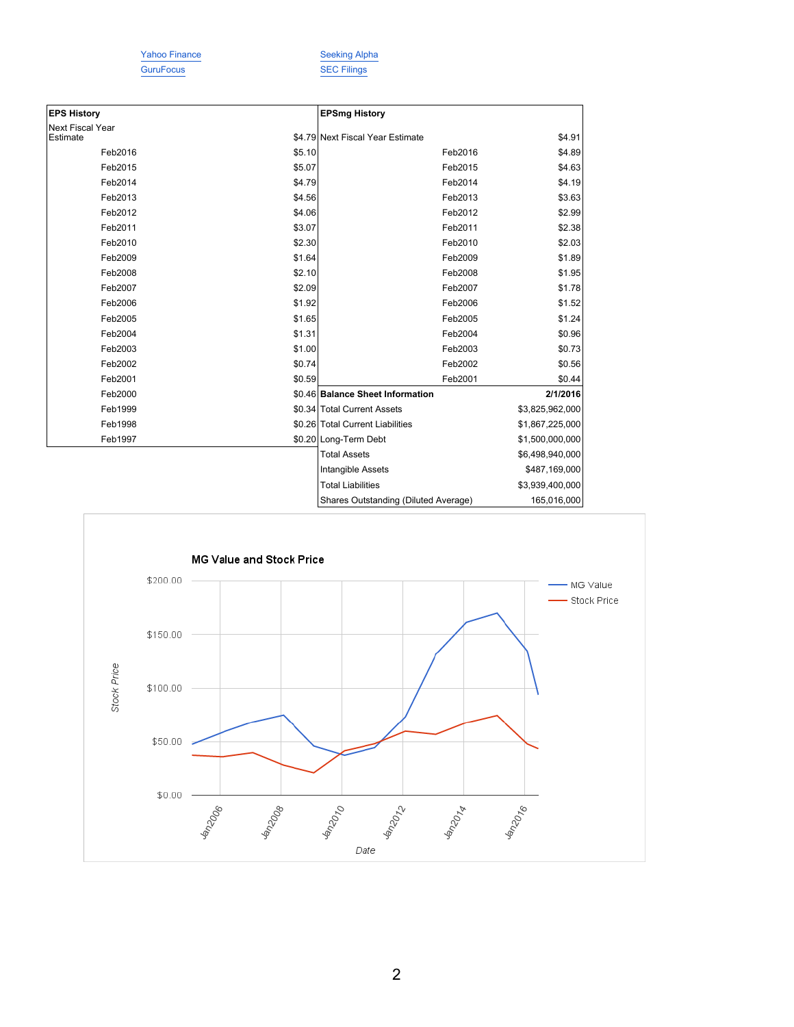GuruFocus SEC Filings

Yahoo Finance Seeking Alpha

| <b>EPS History</b>                  |        | <b>EPSmg History</b>                 |                 |
|-------------------------------------|--------|--------------------------------------|-----------------|
| <b>Next Fiscal Year</b><br>Estimate |        | \$4.79 Next Fiscal Year Estimate     | \$4.91          |
| Feb2016                             | \$5.10 | Feb2016                              | \$4.89          |
| Feb2015                             | \$5.07 | Feb2015                              | \$4.63          |
| Feb2014                             | \$4.79 | Feb2014                              | \$4.19          |
| Feb2013                             | \$4.56 | Feb2013                              | \$3.63          |
| Feb2012                             | \$4.06 | Feb2012                              | \$2.99          |
| Feb2011                             | \$3.07 | Feb2011                              | \$2.38          |
| Feb2010                             | \$2.30 | Feb2010                              | \$2.03          |
| Feb2009                             | \$1.64 | Feb2009                              | \$1.89          |
| Feb2008                             | \$2.10 | Feb2008                              | \$1.95          |
| Feb2007                             | \$2.09 | Feb2007                              | \$1.78          |
| Feb2006                             | \$1.92 | Feb2006                              | \$1.52          |
| Feb2005                             | \$1.65 | Feb2005                              | \$1.24          |
| Feb2004                             | \$1.31 | Feb2004                              | \$0.96          |
| Feb2003                             | \$1.00 | Feb2003                              | \$0.73          |
| Feb2002                             | \$0.74 | Feb2002                              | \$0.56          |
| Feb2001                             | \$0.59 | Feb2001                              | \$0.44          |
| Feb2000                             |        | \$0.46 Balance Sheet Information     | 2/1/2016        |
| Feb1999                             |        | \$0.34 Total Current Assets          | \$3,825,962,000 |
| Feb1998                             |        | \$0.26 Total Current Liabilities     | \$1,867,225,000 |
| Feb1997                             |        | \$0.20 Long-Term Debt                | \$1,500,000,000 |
|                                     |        | <b>Total Assets</b>                  | \$6,498,940,000 |
|                                     |        | Intangible Assets                    | \$487,169,000   |
|                                     |        | <b>Total Liabilities</b>             | \$3,939,400,000 |
|                                     |        | Shares Outstanding (Diluted Average) | 165,016,000     |